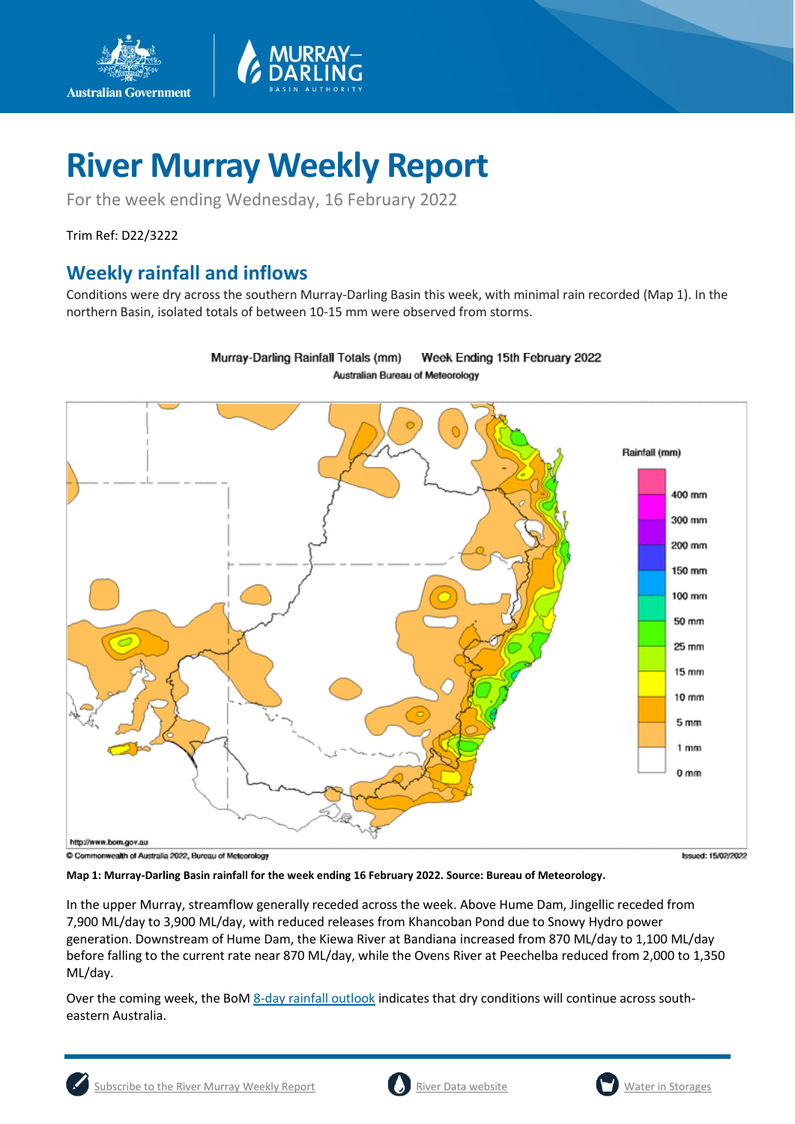

For the week ending Wednesday, 16 February 2022

Trim Ref: D22/3222

**Australian Government** 

## **Weekly rainfall and inflows**

Conditions were dry across the southern Murray-Darling Basin this week, with minimal rain recorded (Map 1). In the northern Basin, isolated totals of between 10-15 mm were observed from storms.



Murray-Darling Rainfall Totals (mm) Week Ending 15th February 2022 Australian Bureau of Meteorology

C Commonwealth of Australia 2022, Bureau of Meteorology

Issued: 15/02/2022

**Map 1: Murray-Darling Basin rainfall for the week ending 16 February 2022. Source: Bureau of Meteorology.**

In the upper Murray, streamflow generally receded across the week. Above Hume Dam, Jingellic receded from 7,900 ML/day to 3,900 ML/day, with reduced releases from Khancoban Pond due to Snowy Hydro power generation. Downstream of Hume Dam, the Kiewa River at Bandiana increased from 870 ML/day to 1,100 ML/day before falling to the current rate near 870 ML/day, while the Ovens River at Peechelba reduced from 2,000 to 1,350 ML/day.

Over the coming week, the BoM [8-day rainfall outlook](http://www.bom.gov.au/jsp/watl/rainfall/pme.jsp) indicates that dry conditions will continue across southeastern Australia.

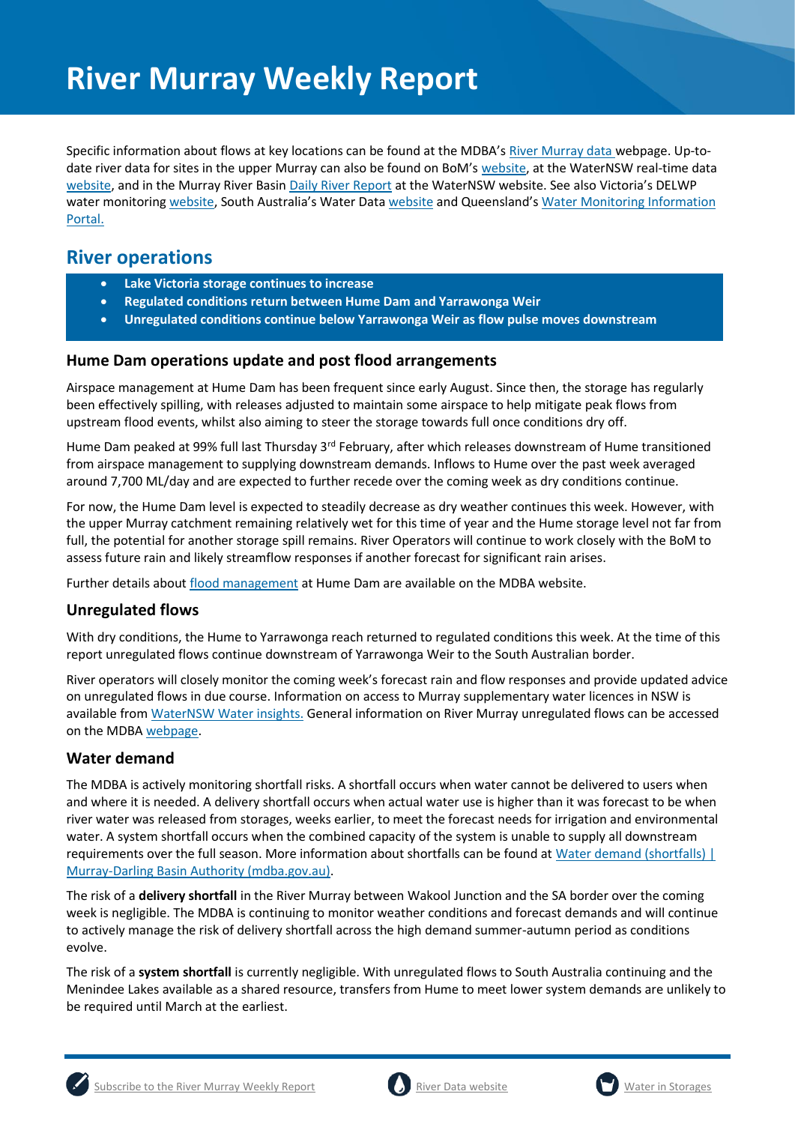Specific information about flows at key locations can be found at the MDBA's [River Murray data](https://riverdata.mdba.gov.au/system-view) webpage. Up-todate river data for sites in the upper Murray can also be found on BoM's [website,](http://www.bom.gov.au/cgi-bin/wrap_fwo.pl?IDV60151.html) at the WaterNSW real-time data [website,](https://realtimedata.waternsw.com.au/water.stm) and in the Murray River Basi[n Daily River Report](https://data.nsw.gov.au/data/dataset/daily-river-reports/resource/5e59326e-2b83-4ad7-88e5-25e96ec40a7d) at the WaterNSW website. See also Victoria's DELWP water monitoring [website](https://data.water.vic.gov.au/), South Australia's Water Data [website](https://water.data.sa.gov.au/Data/Map/Parameter/NoParameter/Location/Type/Interval/Latest) and Queensland's Water Monitoring Information [Portal.](https://water-monitoring.information.qld.gov.au/)

## **River operations**

- **Lake Victoria storage continues to increase**
- **Regulated conditions return between Hume Dam and Yarrawonga Weir**
- **Unregulated conditions continue below Yarrawonga Weir as flow pulse moves downstream**

#### **Hume Dam operations update and post flood arrangements**

Airspace management at Hume Dam has been frequent since early August. Since then, the storage has regularly been effectively spilling, with releases adjusted to maintain some airspace to help mitigate peak flows from upstream flood events, whilst also aiming to steer the storage towards full once conditions dry off.

Hume Dam peaked at 99% full last Thursday 3<sup>rd</sup> February, after which releases downstream of Hume transitioned from airspace management to supplying downstream demands. Inflows to Hume over the past week averaged around 7,700 ML/day and are expected to further recede over the coming week as dry conditions continue.

For now, the Hume Dam level is expected to steadily decrease as dry weather continues this week. However, with the upper Murray catchment remaining relatively wet for this time of year and the Hume storage level not far from full, the potential for another storage spill remains. River Operators will continue to work closely with the BoM to assess future rain and likely streamflow responses if another forecast for significant rain arises.

Further details about [flood management](http://www.mdba.gov.au/river-murray-system/running-river-murray/flood-management-hume-dam) at Hume Dam are available on the MDBA website.

#### **Unregulated flows**

With dry conditions, the Hume to Yarrawonga reach returned to regulated conditions this week. At the time of this report unregulated flows continue downstream of Yarrawonga Weir to the South Australian border.

River operators will closely monitor the coming week's forecast rain and flow responses and provide updated advice on unregulated flows in due course. Information on access to Murray supplementary water licences in NSW is available from [WaterNSW Water insights.](https://waterinsights.waternsw.com.au/11904-new-south-wales-murray-regulated-river/updates) General information on River Murray unregulated flows can be accessed on the MDB[A webpage.](https://www.mdba.gov.au/water-management/allocations-states-mdba/unregulated-flows-river-murray)

### **Water demand**

The MDBA is actively monitoring shortfall risks. A shortfall occurs when water cannot be delivered to users when and where it is needed. A delivery shortfall occurs when actual water use is higher than it was forecast to be when river water was released from storages, weeks earlier, to meet the forecast needs for irrigation and environmental water. A system shortfall occurs when the combined capacity of the system is unable to supply all downstream requirements over the full season. More information about shortfalls can be found at [Water demand \(shortfalls\) |](https://www.mdba.gov.au/water-management/river-operations/water-demand-shortfalls)  [Murray-Darling Basin Authority \(mdba.gov.au\).](https://www.mdba.gov.au/water-management/river-operations/water-demand-shortfalls)

The risk of a **delivery shortfall** in the River Murray between Wakool Junction and the SA border over the coming week is negligible. The MDBA is continuing to monitor weather conditions and forecast demands and will continue to actively manage the risk of delivery shortfall across the high demand summer-autumn period as conditions evolve.

The risk of a **system shortfall** is currently negligible. With unregulated flows to South Australia continuing and the Menindee Lakes available as a shared resource, transfers from Hume to meet lower system demands are unlikely to be required until March at the earliest.



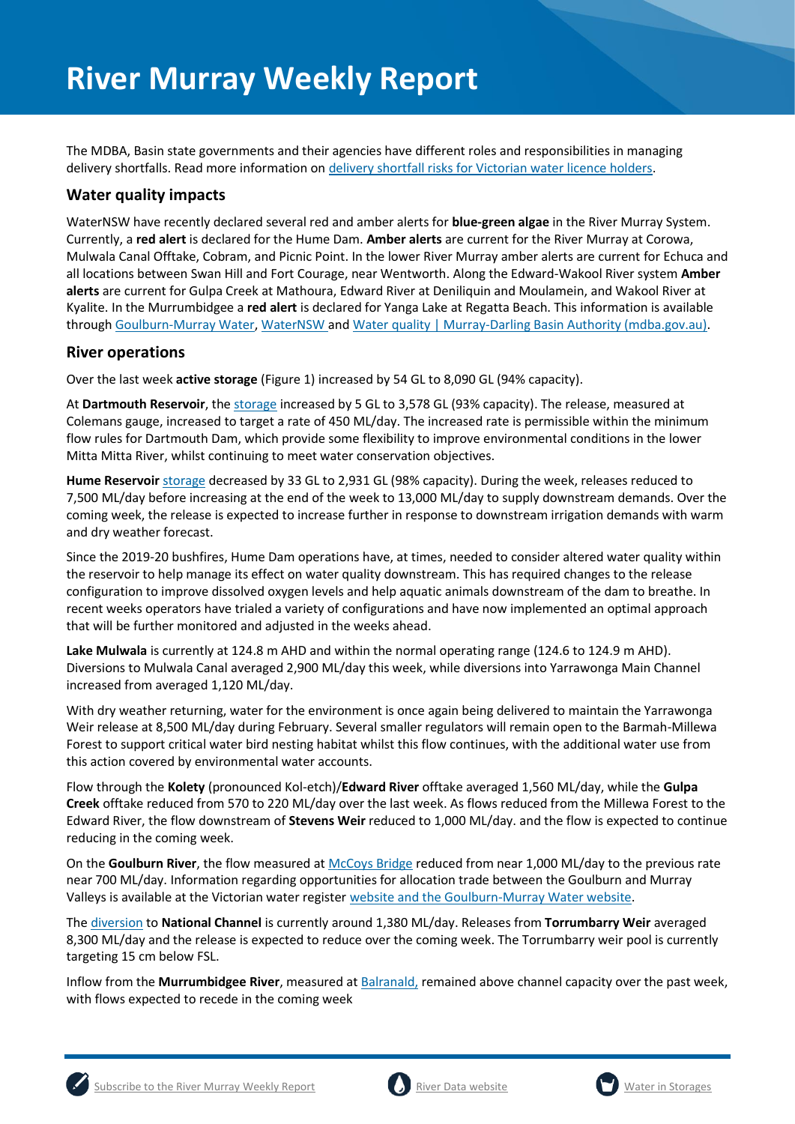The MDBA, Basin state governments and their agencies have different roles and responsibilities in managing delivery shortfalls. Read more information on [delivery shortfall risks for Victorian water licence holders.](https://waterregister.vic.gov.au/about/news/337-new-fact-sheet-on-delivery-risks-in-the-river-murray)

#### **Water quality impacts**

WaterNSW have recently declared several red and amber alerts for **blue-green algae** in the River Murray System. Currently, a **red alert** is declared for the Hume Dam. **Amber alerts** are current for the River Murray at Corowa, Mulwala Canal Offtake, Cobram, and Picnic Point. In the lower River Murray amber alerts are current for Echuca and all locations between Swan Hill and Fort Courage, near Wentworth. Along the Edward-Wakool River system **Amber alerts** are current for Gulpa Creek at Mathoura, Edward River at Deniliquin and Moulamein, and Wakool River at Kyalite. In the Murrumbidgee a **red alert** is declared for Yanga Lake at Regatta Beach. This information is available throug[h Goulburn-Murray Water,](https://www.g-mwater.com.au/news/bga) [WaterNSW](https://www.waternsw.com.au/water-quality/algae) and [Water quality | Murray-Darling Basin Authority \(mdba.gov.au\).](https://www.mdba.gov.au/water-management/mdbas-river-operations/water-quality)

#### **River operations**

Over the last week **active storage** (Figure 1) increased by 54 GL to 8,090 GL (94% capacity).

At **Dartmouth Reservoir**, the [storage](https://riverdata.mdba.gov.au/dartmouth-dam) increased by 5 GL to 3,578 GL (93% capacity). The release, measured at Colemans gauge, increased to target a rate of 450 ML/day. The increased rate is permissible within the minimum flow rules for Dartmouth Dam, which provide some flexibility to improve environmental conditions in the lower Mitta Mitta River, whilst continuing to meet water conservation objectives.

**Hume Reservoir** [storage](https://livedata.mdba.gov.au/hume-dam) decreased by 33 GL to 2,931 GL (98% capacity). During the week, releases reduced to 7,500 ML/day before increasing at the end of the week to 13,000 ML/day to supply downstream demands. Over the coming week, the release is expected to increase further in response to downstream irrigation demands with warm and dry weather forecast.

Since the 2019-20 bushfires, Hume Dam operations have, at times, needed to consider altered water quality within the reservoir to help manage its effect on water quality downstream. This has required changes to the release configuration to improve dissolved oxygen levels and help aquatic animals downstream of the dam to breathe. In recent weeks operators have trialed a variety of configurations and have now implemented an optimal approach that will be further monitored and adjusted in the weeks ahead.

**Lake Mulwala** is currently at 124.8 m AHD and within the normal operating range (124.6 to 124.9 m AHD). Diversions to Mulwala Canal averaged 2,900 ML/day this week, while diversions into Yarrawonga Main Channel increased from averaged 1,120 ML/day.

With dry weather returning, water for the environment is once again being delivered to maintain the Yarrawonga Weir release at 8,500 ML/day during February. Several smaller regulators will remain open to the Barmah-Millewa Forest to support critical water bird nesting habitat whilst this flow continues, with the additional water use from this action covered by environmental water accounts.

Flow through the **Kolety** (pronounced Kol-etch)/**Edward River** offtake averaged 1,560 ML/day, while the **Gulpa Creek** offtake reduced from 570 to 220 ML/day over the last week. As flows reduced from the Millewa Forest to the Edward River, the flow downstream of **Stevens Weir** reduced to 1,000 ML/day. and the flow is expected to continue reducing in the coming week.

On the **Goulburn River**, the flow measured at [McCoys Bridge](https://riverdata.mdba.gov.au/mccoy-bridge) reduced from near 1,000 ML/day to the previous rate near 700 ML/day. Information regarding opportunities for allocation trade between the Goulburn and Murray Valleys is available at the Victorian water register [website](http://waterregister.vic.gov.au/water-trading/allocation-trading) and the [Goulburn-Murray Water website.](https://www.g-mwater.com.au/water-resources/managing-water-storages)

The [diversion](https://riverdata.mdba.gov.au/national-channel-ds-torrumbarry-headworks) to **National Channel** is currently around 1,380 ML/day. Releases from **Torrumbarry Weir** averaged 8,300 ML/day and the release is expected to reduce over the coming week. The Torrumbarry weir pool is currently targeting 15 cm below FSL.

Inflow from the **Murrumbidgee River**, measured a[t Balranald,](https://riverdata.mdba.gov.au/balranald-weir-downstream) remained above channel capacity over the past week, with flows expected to recede in the coming week





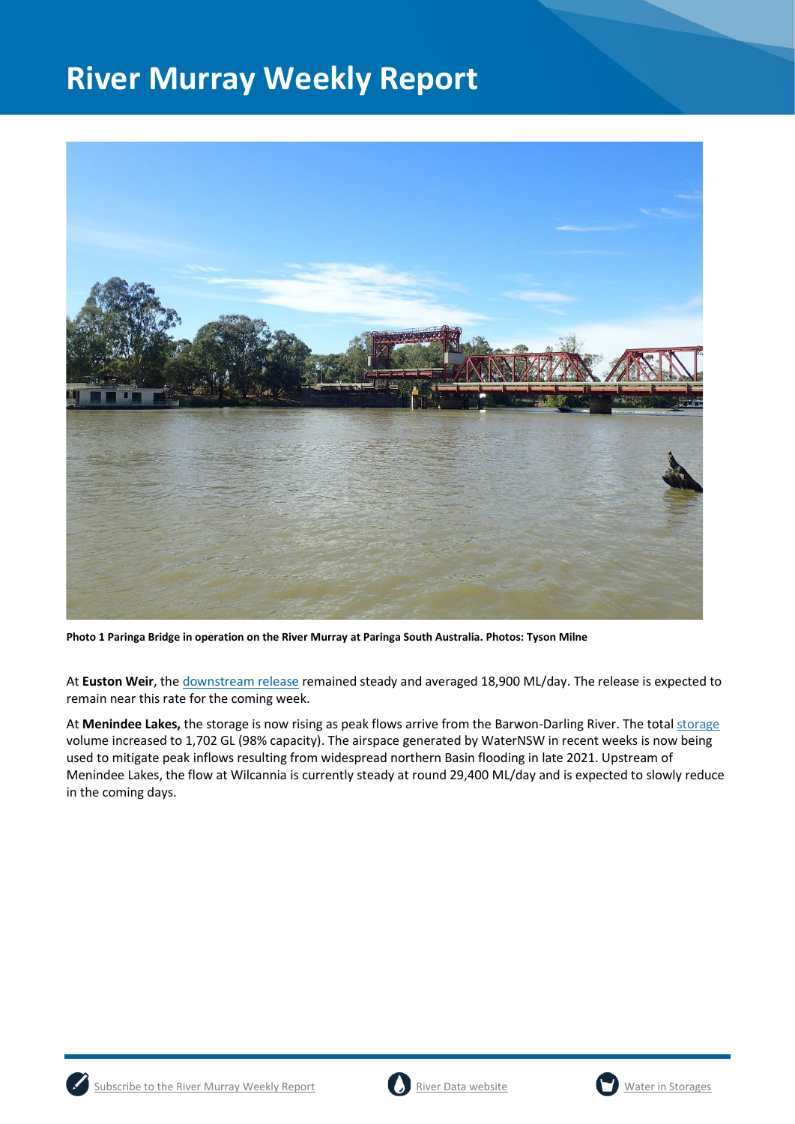

**Photo 1 Paringa Bridge in operation on the River Murray at Paringa South Australia. Photos: Tyson Milne**

At **Euston Weir**, th[e downstream release](https://riverdata.mdba.gov.au/euston-weir-downstream) remained steady and averaged 18,900 ML/day. The release is expected to remain near this rate for the coming week.

At **Menindee Lakes,** the storage is now rising as peak flows arrive from the Barwon-Darling River. The total [storage](https://riverdata.mdba.gov.au/menindee-lakes-combined-storage) volume increased to 1,702 GL (98% capacity). The airspace generated by WaterNSW in recent weeks is now being used to mitigate peak inflows resulting from widespread northern Basin flooding in late 2021. Upstream of Menindee Lakes, the flow at Wilcannia is currently steady at round 29,400 ML/day and is expected to slowly reduce in the coming days.





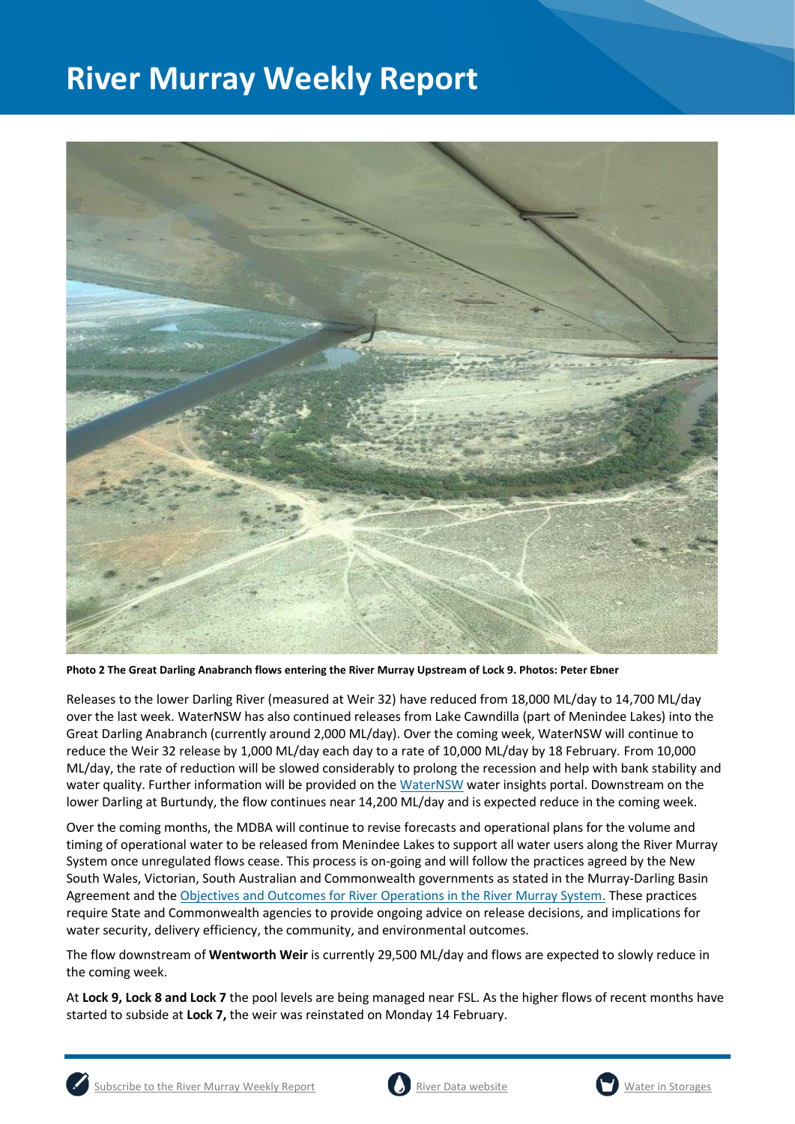

**Photo 2 The Great Darling Anabranch flows entering the River Murray Upstream of Lock 9. Photos: Peter Ebner**

Releases to the lower Darling River (measured at Weir 32) have reduced from 18,000 ML/day to 14,700 ML/day over the last week. WaterNSW has also continued releases from Lake Cawndilla (part of Menindee Lakes) into the Great Darling Anabranch (currently around 2,000 ML/day). Over the coming week, WaterNSW will continue to reduce the Weir 32 release by 1,000 ML/day each day to a rate of 10,000 ML/day by 18 February. From 10,000 ML/day, the rate of reduction will be slowed considerably to prolong the recession and help with bank stability and water quality. Further information will be provided on th[e WaterNSW](https://waterinsights.waternsw.com.au/12104-lower-darling-regulated-river/updates) water insights portal. Downstream on the lower Darling at Burtundy, the flow continues near 14,200 ML/day and is expected reduce in the coming week.

Over the coming months, the MDBA will continue to revise forecasts and operational plans for the volume and timing of operational water to be released from Menindee Lakes to support all water users along the River Murray System once unregulated flows cease. This process is on-going and will follow the practices agreed by the New South Wales, Victorian, South Australian and Commonwealth governments as stated in the Murray-Darling Basin Agreement and the [Objectives and Outcomes for River Operations in the River Murray System.](https://www.mdba.gov.au/publications/mdba-reports/objectives-outcomes-river-operations-river-murray-system) These practices require State and Commonwealth agencies to provide ongoing advice on release decisions, and implications for water security, delivery efficiency, the community, and environmental outcomes.

The flow downstream of **Wentworth Weir** is currently 29,500 ML/day and flows are expected to slowly reduce in the coming week.

At **Lock 9, Lock 8 and Lock 7** the pool levels are being managed near FSL. As the higher flows of recent months have started to subside at **Lock 7,** the weir was reinstated on Monday 14 February.



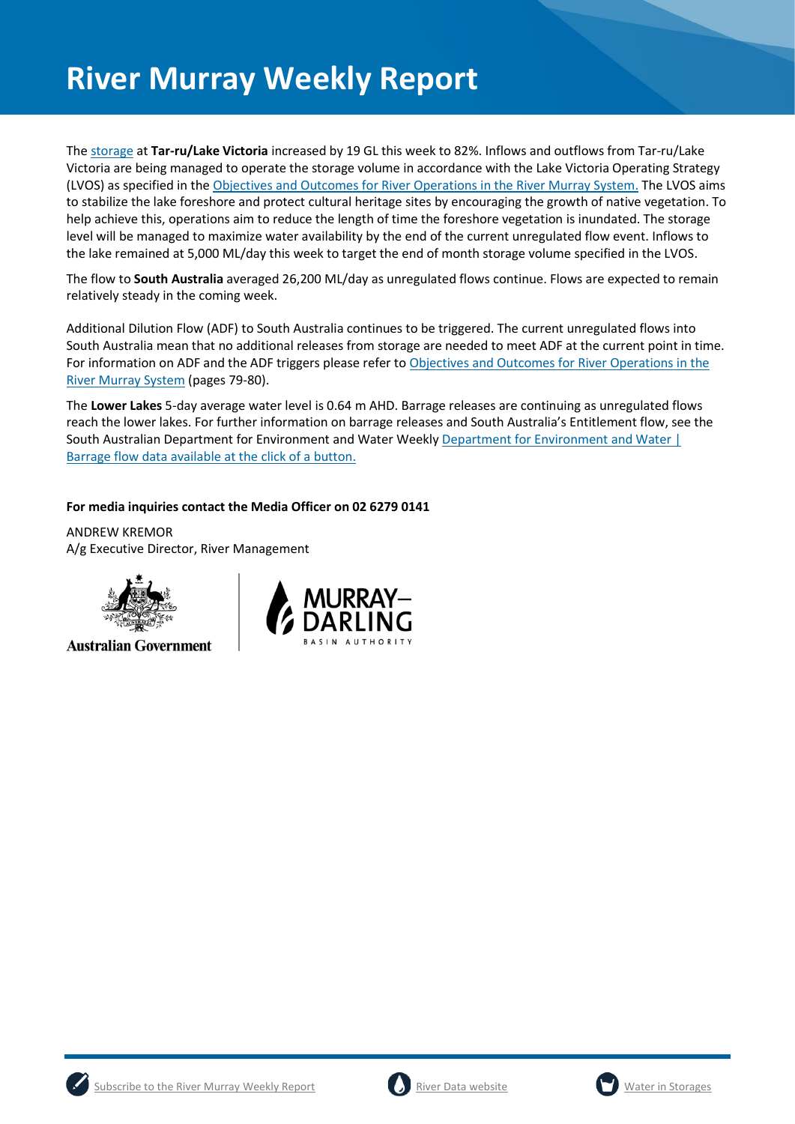The [storage](https://riverdata.mdba.gov.au/lake-victoria) at **Tar-ru/Lake Victoria** increased by 19 GL this week to 82%. Inflows and outflows from Tar-ru/Lake Victoria are being managed to operate the storage volume in accordance with the Lake Victoria Operating Strategy (LVOS) as specified in th[e Objectives and Outcomes for River Operations in the River Murray System.](https://www.mdba.gov.au/publications/mdba-reports/objectives-outcomes-river-operations-river-murray-system) The LVOS aims to stabilize the lake foreshore and protect cultural heritage sites by encouraging the growth of native vegetation. To help achieve this, operations aim to reduce the length of time the foreshore vegetation is inundated. The storage level will be managed to maximize water availability by the end of the current unregulated flow event. Inflows to the lake remained at 5,000 ML/day this week to target the end of month storage volume specified in the LVOS.

The flow to **South Australia** averaged 26,200 ML/day as unregulated flows continue. Flows are expected to remain relatively steady in the coming week.

Additional Dilution Flow (ADF) to South Australia continues to be triggered. The current unregulated flows into South Australia mean that no additional releases from storage are needed to meet ADF at the current point in time. For information on ADF and the ADF triggers please refer t[o Objectives and Outcomes for River Operations in the](https://www.mdba.gov.au/publications/mdba-reports/objectives-outcomes-river-operations-river-murray-system)  [River Murray System](https://www.mdba.gov.au/publications/mdba-reports/objectives-outcomes-river-operations-river-murray-system) (pages 79-80).

The **Lower Lakes** 5-day average water level is 0.64 m AHD. Barrage releases are continuing as unregulated flows reach the lower lakes. For further information on barrage releases and South Australia's Entitlement flow, see the South Australian Department for Environment and Water Weekly [Department for Environment and Water |](https://www.environment.sa.gov.au/news-hub/news/articles/2021/11/Daily-barrage-data)  [Barrage flow data available at the click of a button.](https://www.environment.sa.gov.au/news-hub/news/articles/2021/11/Daily-barrage-data)

#### **For media inquiries contact the Media Officer on 02 6279 0141**

ANDREW KREMOR A/g Executive Director, River Management



**Australian Government** 







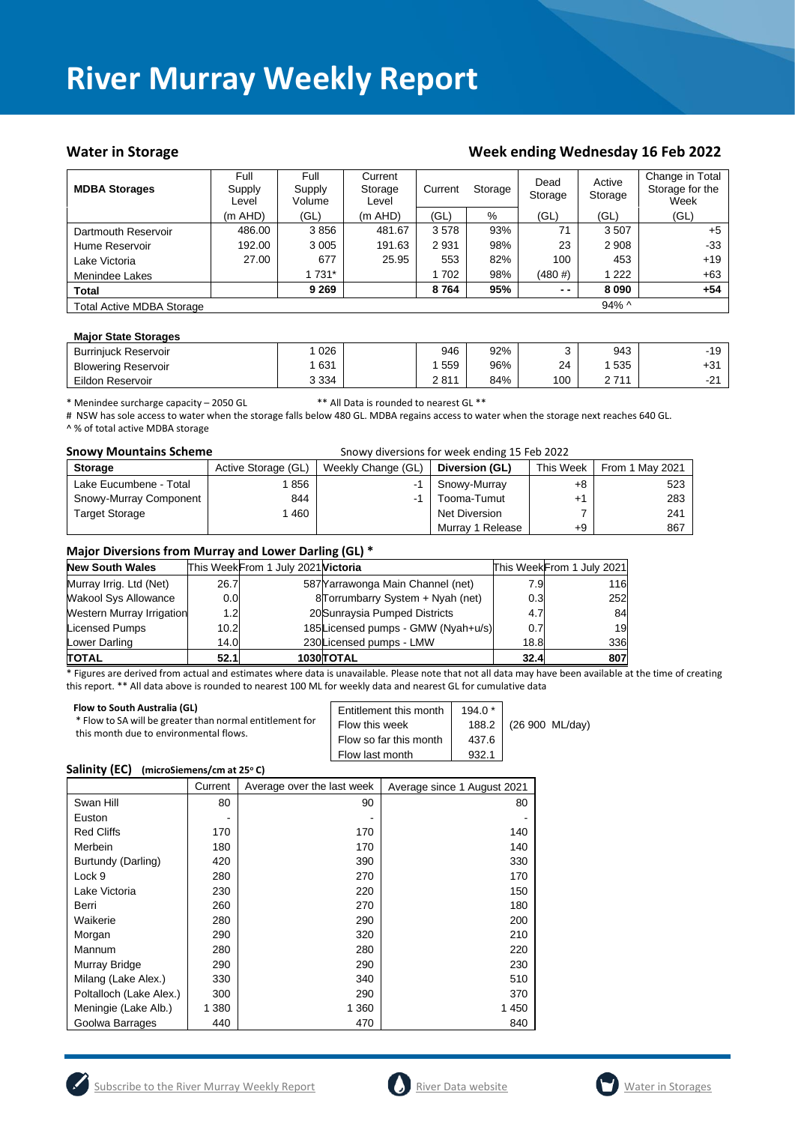#### Water in Storage Week ending Wednesday 16 Feb 2022

| <b>MDBA Storages</b>             | Full<br>Supply<br>Level | Full<br>Supply<br>Volume | Current<br>Storage<br>Level | Current | Storage | Dead<br>Storage | Active<br>Storage | Change in Total<br>Storage for the<br>Week |
|----------------------------------|-------------------------|--------------------------|-----------------------------|---------|---------|-----------------|-------------------|--------------------------------------------|
|                                  | $(m$ AHD)               | (GL)                     | $(m$ AHD)                   | (GL)    | %       | (GL)            | (GL)              | (GL)                                       |
| Dartmouth Reservoir              | 486.00                  | 3856                     | 481.67                      | 3578    | 93%     | 71              | 3507              | $+5$                                       |
| Hume Reservoir                   | 192.00                  | 3 0 0 5                  | 191.63                      | 2931    | 98%     | 23              | 2 9 0 8           | $-33$                                      |
| Lake Victoria                    | 27.00                   | 677                      | 25.95                       | 553     | 82%     | 100             | 453               | $+19$                                      |
| Menindee Lakes                   |                         | 1 731*                   |                             | 702     | 98%     | $(480 \#)$      | 1 2 2 2           | +63                                        |
| <b>Total</b>                     |                         | 9 2 6 9                  |                             | 8764    | 95%     | $ -$            | 8090              | $+54$                                      |
| <b>Total Active MDBA Storage</b> |                         |                          |                             |         |         |                 | $94\%$ ^          |                                            |

#### **Major State Storages**

| <b>Burriniuck Reservoir</b> | 026     | 946  | 92% |     | 943              | $-19$         |
|-----------------------------|---------|------|-----|-----|------------------|---------------|
| <b>Blowering Reservoir</b>  | 631     | 559  | 96% | 24  | 535              | ۰ ت           |
| Eildon Reservoir            | 3 3 3 4 | 2811 | 84% | 100 | 2711<br><u>.</u> | $\sim$<br>. . |

\* Menindee surcharge capacity – 2050 GL \*\* All Data is rounded to nearest GL \*\*

# NSW has sole access to water when the storage falls below 480 GL. MDBA regains access to water when the storage next reaches 640 GL. ^ % of total active MDBA storage

| <b>Snowy Mountains Scheme</b> |                     |                    |                  |           |                 |
|-------------------------------|---------------------|--------------------|------------------|-----------|-----------------|
| <b>Storage</b>                | Active Storage (GL) | Weekly Change (GL) | Diversion (GL)   | This Week | From 1 May 2021 |
| Lake Eucumbene - Total        | 856                 | -1                 | Snowy-Murray     | +8        | 523             |
| Snowy-Murray Component        | 844                 | -1                 | Tooma-Tumut      | $+1$      | 283             |
| <b>Target Storage</b>         | 460                 |                    | Net Diversion    |           | 241             |
|                               |                     |                    | Murray 1 Release | $+9$      | 867             |

#### **Major Diversions from Murray and Lower Darling (GL) \***

| <b>New South Wales</b>           |                  | This WeekFrom 1 July 2021 Victoria |                                    |      | This WeekFrom 1 July 2021 |
|----------------------------------|------------------|------------------------------------|------------------------------------|------|---------------------------|
| Murray Irrig. Ltd (Net)          | 26.7             |                                    | 587 Yarrawonga Main Channel (net)  | 7.9  | 116                       |
| <b>Wakool Sys Allowance</b>      | 0.0              |                                    | 8Torrumbarry System + Nyah (net)   | 0.3  | 252                       |
| <b>Western Murray Irrigation</b> | 1.2 <sub>l</sub> |                                    | 20 Sunraysia Pumped Districts      | 4.7  | 84                        |
| Licensed Pumps                   | 10.2             |                                    | 185Licensed pumps - GMW (Nyah+u/s) | 0.7  | 19                        |
| Lower Darling                    | 14.0             |                                    | 230Licensed pumps - LMW            | 18.8 | 336                       |
| <b>TOTAL</b>                     | 52.1             |                                    | 1030 TOTAL                         | 32.4 | 807                       |

\* Figures are derived from actual and estimates where data is unavailable. Please note that not all data may have been available at the time of creating this report. \*\* All data above is rounded to nearest 100 ML for weekly data and nearest GL for cumulative data

| Flow to South Australia (GL)<br>* Flow to SA will be greater than normal entitlement for<br>this month due to environmental flows. | Entitlement this month<br>Flow this week<br>Flow so far this month<br>Flow last month | $194.0*$<br>188.2<br>437.6<br>932.1 | (26 900 ML/day) |
|------------------------------------------------------------------------------------------------------------------------------------|---------------------------------------------------------------------------------------|-------------------------------------|-----------------|
|------------------------------------------------------------------------------------------------------------------------------------|---------------------------------------------------------------------------------------|-------------------------------------|-----------------|

#### **Salinity (EC) (microSiemens/cm at 25<sup>o</sup> C)**

|                         | Current | Average over the last week | Average since 1 August 2021 |
|-------------------------|---------|----------------------------|-----------------------------|
| Swan Hill               | 80      | 90                         | 80                          |
| Euston                  |         |                            |                             |
| <b>Red Cliffs</b>       | 170     | 170                        | 140                         |
| Merbein                 | 180     | 170                        | 140                         |
| Burtundy (Darling)      | 420     | 390                        | 330                         |
| Lock 9                  | 280     | 270                        | 170                         |
| Lake Victoria           | 230     | 220                        | 150                         |
| Berri                   | 260     | 270                        | 180                         |
| Waikerie                | 280     | 290                        | 200                         |
| Morgan                  | 290     | 320                        | 210                         |
| Mannum                  | 280     | 280                        | 220                         |
| Murray Bridge           | 290     | 290                        | 230                         |
| Milang (Lake Alex.)     | 330     | 340                        | 510                         |
| Poltalloch (Lake Alex.) | 300     | 290                        | 370                         |
| Meningie (Lake Alb.)    | 1 380   | 1 3 6 0                    | 1450                        |
| Goolwa Barrages         | 440     | 470                        | 840                         |





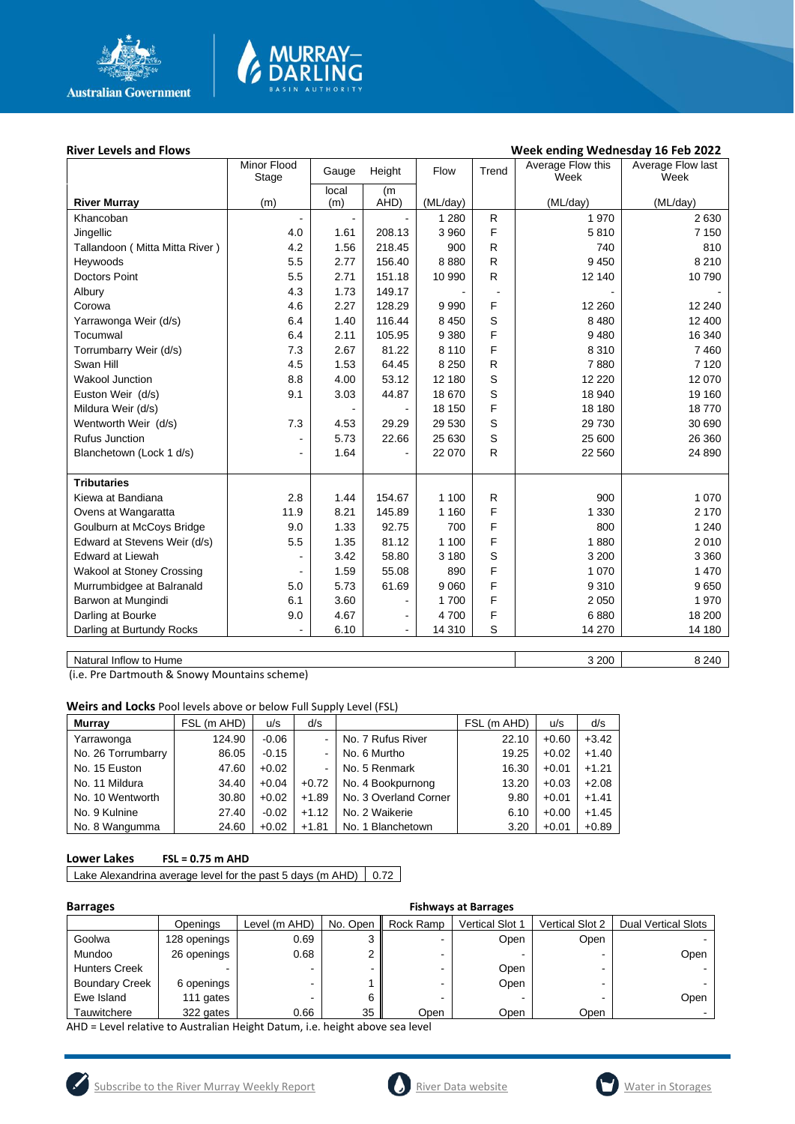

# **MURRAY-<br>DARLING**

#### River Levels and Flows **River Levels and Flows Week ending Wednesday 16 Feb 2022**

|                                  | Minor Flood<br>Stage         | Gauge          | Height         | Flow     | Trend                    | Average Flow this<br>Week | Average Flow last<br>Week |
|----------------------------------|------------------------------|----------------|----------------|----------|--------------------------|---------------------------|---------------------------|
|                                  |                              | local          | (m             |          |                          |                           |                           |
| <b>River Murray</b>              | (m)                          | (m)            | AHD)           | (ML/day) |                          | (ML/day)                  | (ML/day)                  |
| Khancoban                        | $\overline{\phantom{a}}$     | $\blacksquare$ |                | 1 2 8 0  | $\mathsf{R}$             | 1 970                     | 2630                      |
| Jingellic                        | 4.0                          | 1.61           | 208.13         | 3 9 6 0  | F                        | 5810                      | 7 1 5 0                   |
| Tallandoon (Mitta Mitta River)   | 4.2                          | 1.56           | 218.45         | 900      | R                        | 740                       | 810                       |
| Heywoods                         | 5.5                          | 2.77           | 156.40         | 8880     | R                        | 9450                      | 8 2 1 0                   |
| <b>Doctors Point</b>             | 5.5                          | 2.71           | 151.18         | 10 990   | R                        | 12 140                    | 10790                     |
| Albury                           | 4.3                          | 1.73           | 149.17         |          | $\overline{\phantom{a}}$ |                           |                           |
| Corowa                           | 4.6                          | 2.27           | 128.29         | 9 9 9 0  | F                        | 12 2 60                   | 12 240                    |
| Yarrawonga Weir (d/s)            | 6.4                          | 1.40           | 116.44         | 8 4 5 0  | S                        | 8 4 8 0                   | 12 400                    |
| Tocumwal                         | 6.4                          | 2.11           | 105.95         | 9 3 8 0  | F                        | 9480                      | 16 340                    |
| Torrumbarry Weir (d/s)           | 7.3                          | 2.67           | 81.22          | 8 1 1 0  | F                        | 8 3 1 0                   | 7460                      |
| Swan Hill                        | 4.5                          | 1.53           | 64.45          | 8 2 5 0  | R                        | 7880                      | 7 1 2 0                   |
| <b>Wakool Junction</b>           | 8.8                          | 4.00           | 53.12          | 12 180   | S                        | 12 2 2 0                  | 12 070                    |
| Euston Weir (d/s)                | 9.1                          | 3.03           | 44.87          | 18 670   | S                        | 18 940                    | 19 160                    |
| Mildura Weir (d/s)               |                              |                |                | 18 150   | F                        | 18 180                    | 18770                     |
| Wentworth Weir (d/s)             | 7.3                          | 4.53           | 29.29          | 29 530   | S                        | 29 730                    | 30 690                    |
| <b>Rufus Junction</b>            | $\qquad \qquad \blacksquare$ | 5.73           | 22.66          | 25 630   | S                        | 25 600                    | 26 360                    |
| Blanchetown (Lock 1 d/s)         | ٠                            | 1.64           |                | 22 070   | $\mathsf{R}$             | 22 560                    | 24 890                    |
|                                  |                              |                |                |          |                          |                           |                           |
| <b>Tributaries</b>               |                              |                |                |          |                          |                           |                           |
| Kiewa at Bandiana                | 2.8                          | 1.44           | 154.67         | 1 100    | R                        | 900                       | 1 0 7 0                   |
| Ovens at Wangaratta              | 11.9                         | 8.21           | 145.89         | 1 1 6 0  | F                        | 1 3 3 0                   | 2 170                     |
| Goulburn at McCoys Bridge        | 9.0                          | 1.33           | 92.75          | 700      | F                        | 800                       | 1 2 4 0                   |
| Edward at Stevens Weir (d/s)     | 5.5                          | 1.35           | 81.12          | 1 100    | F                        | 1880                      | 2010                      |
| <b>Edward at Liewah</b>          | $\blacksquare$               | 3.42           | 58.80          | 3 1 8 0  | S                        | 3 2 0 0                   | 3 3 6 0                   |
| <b>Wakool at Stoney Crossing</b> |                              | 1.59           | 55.08          | 890      | F                        | 1 0 7 0                   | 1 470                     |
| Murrumbidgee at Balranald        | 5.0                          | 5.73           | 61.69          | 9 0 6 0  | F                        | 9 3 1 0                   | 9650                      |
| Barwon at Mungindi               | 6.1                          | 3.60           | $\blacksquare$ | 1700     | F                        | 2 0 5 0                   | 1970                      |
| Darling at Bourke                | 9.0                          | 4.67           | $\blacksquare$ | 4700     | F                        | 6880                      | 18 200                    |
| Darling at Burtundy Rocks        |                              | 6.10           | $\blacksquare$ | 14 310   | S                        | 14 270                    | 14 180                    |
|                                  |                              |                |                |          |                          |                           |                           |

Natural Inflow to Hume 8 240

(i.e. Pre Dartmouth & Snowy Mountains scheme)

**Weirs and Locks** Pool levels above or below Full Supply Level (FSL)

| <b>Murray</b>      | FSL (m AHD) | u/s     | d/s     |                       | FSL (m AHD) | u/s     | d/s     |
|--------------------|-------------|---------|---------|-----------------------|-------------|---------|---------|
| Yarrawonga         | 124.90      | $-0.06$ |         | No. 7 Rufus River     | 22.10       | $+0.60$ | $+3.42$ |
| No. 26 Torrumbarry | 86.05       | $-0.15$ | ۰.      | No. 6 Murtho          | 19.25       | $+0.02$ | $+1.40$ |
| No. 15 Euston      | 47.60       | $+0.02$ | $\sim$  | No. 5 Renmark         | 16.30       | $+0.01$ | $+1.21$ |
| No. 11 Mildura     | 34.40       | $+0.04$ | $+0.72$ | No. 4 Bookpurnong     | 13.20       | $+0.03$ | $+2.08$ |
| No. 10 Wentworth   | 30.80       | $+0.02$ | $+1.89$ | No. 3 Overland Corner | 9.80        | $+0.01$ | $+1.41$ |
| No. 9 Kulnine      | 27.40       | $-0.02$ | $+1.12$ | No. 2 Waikerie        | 6.10        | $+0.00$ | $+1.45$ |
| No. 8 Wangumma     | 24.60       | $+0.02$ | $+1.81$ | No. 1 Blanchetown     | 3.20        | $+0.01$ | $+0.89$ |

#### **Lower Lakes FSL = 0.75 m AHD**

Lake Alexandrina average level for the past 5 days (m AHD)  $\vert$  0.72

| <b>Barrages</b>       |              | <b>Fishways at Barrages</b> |          |           |                        |                 |                            |  |  |  |
|-----------------------|--------------|-----------------------------|----------|-----------|------------------------|-----------------|----------------------------|--|--|--|
|                       | Openings     | Level (m AHD)               | No. Open | Rock Ramp | <b>Vertical Slot 1</b> | Vertical Slot 2 | <b>Dual Vertical Slots</b> |  |  |  |
| Goolwa                | 128 openings | 0.69                        | ົ        |           | Open                   | Open            |                            |  |  |  |
| Mundoo                | 26 openings  | 0.68                        | ົ        |           |                        |                 | Open                       |  |  |  |
| <b>Hunters Creek</b>  |              | ۰                           |          |           | Open                   |                 |                            |  |  |  |
| <b>Boundary Creek</b> | 6 openings   | -                           |          |           | Open                   |                 |                            |  |  |  |
| Ewe Island            | 111 gates    | -                           | 6        |           |                        |                 | Open                       |  |  |  |
| Tauwitchere           | 322 gates    | 0.66                        | 35       | Open      | Open                   | Open            |                            |  |  |  |

AHD = Level relative to Australian Height Datum, i.e. height above sea level